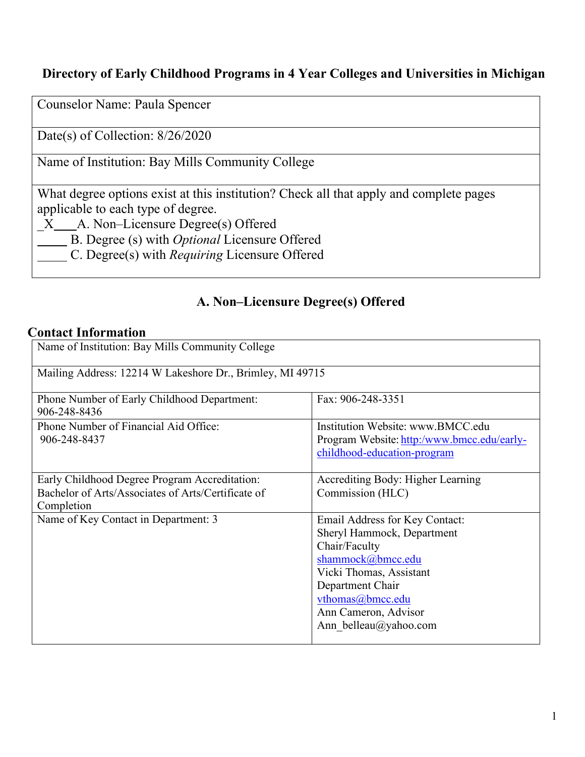## **Directory of Early Childhood Programs in 4 Year Colleges and Universities in Michigan**

Counselor Name: Paula Spencer

Date(s) of Collection: 8/26/2020

Name of Institution: Bay Mills Community College

What degree options exist at this institution? Check all that apply and complete pages applicable to each type of degree.

 $X$  A. Non–Licensure Degree(s) Offered

B. Degree (s) with *Optional* Licensure Offered

C. Degree(s) with *Requiring* Licensure Offered

## **A. Non–Licensure Degree(s) Offered**

## **Contact Information**

| Name of Institution: Bay Mills Community College                                                                  |                                                                                                                                                                                                                        |  |
|-------------------------------------------------------------------------------------------------------------------|------------------------------------------------------------------------------------------------------------------------------------------------------------------------------------------------------------------------|--|
| Mailing Address: 12214 W Lakeshore Dr., Brimley, MI 49715                                                         |                                                                                                                                                                                                                        |  |
| Phone Number of Early Childhood Department:<br>906-248-8436                                                       | Fax: 906-248-3351                                                                                                                                                                                                      |  |
| Phone Number of Financial Aid Office:<br>906-248-8437                                                             | Institution Website: www.BMCC.edu<br>Program Website: http:/www.bmcc.edu/early-<br>childhood-education-program                                                                                                         |  |
| Early Childhood Degree Program Accreditation:<br>Bachelor of Arts/Associates of Arts/Certificate of<br>Completion | Accrediting Body: Higher Learning<br>Commission (HLC)                                                                                                                                                                  |  |
| Name of Key Contact in Department: 3                                                                              | Email Address for Key Contact:<br>Sheryl Hammock, Department<br>Chair/Faculty<br>shammock@bmcc.edu<br>Vicki Thomas, Assistant<br>Department Chair<br>vthomas@bmcc.edu<br>Ann Cameron, Advisor<br>Ann belleau@yahoo.com |  |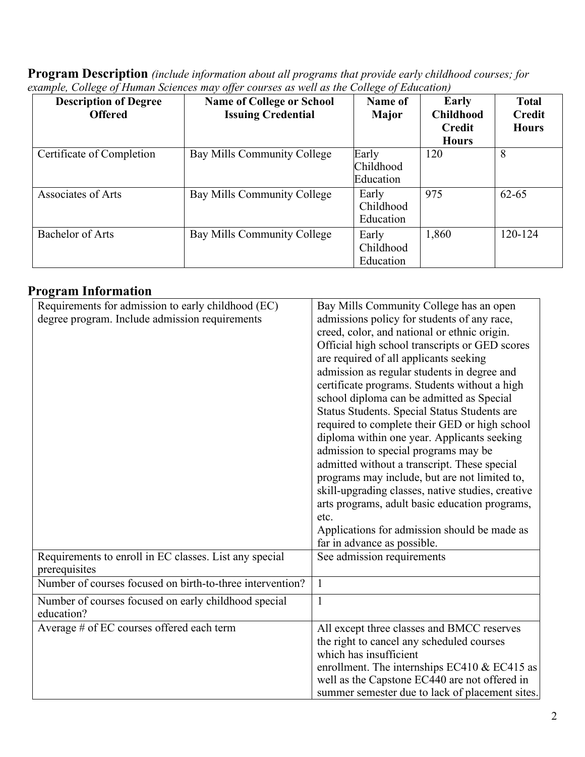| <b>Program Description</b> (include information about all programs that provide early childhood courses; for |
|--------------------------------------------------------------------------------------------------------------|
| example, College of Human Sciences may offer courses as well as the College of Education)                    |

| <b>Description of Degree</b><br><b>Offered</b> | <b>Name of College or School</b><br><b>Issuing Credential</b> | Name of<br>Major                | Early<br><b>Childhood</b><br><b>Credit</b><br><b>Hours</b> | <b>Total</b><br><b>Credit</b><br><b>Hours</b> |
|------------------------------------------------|---------------------------------------------------------------|---------------------------------|------------------------------------------------------------|-----------------------------------------------|
| Certificate of Completion                      | Bay Mills Community College                                   | Early<br>Childhood<br>Education | 120                                                        | 8                                             |
| Associates of Arts                             | Bay Mills Community College                                   | Early<br>Childhood<br>Education | 975                                                        | $62 - 65$                                     |
| <b>Bachelor of Arts</b>                        | Bay Mills Community College                                   | Early<br>Childhood<br>Education | 1,860                                                      | 120-124                                       |

## **Program Information**

| Requirements for admission to early childhood (EC)<br>degree program. Include admission requirements | Bay Mills Community College has an open<br>admissions policy for students of any race,<br>creed, color, and national or ethnic origin.<br>Official high school transcripts or GED scores<br>are required of all applicants seeking<br>admission as regular students in degree and<br>certificate programs. Students without a high<br>school diploma can be admitted as Special<br>Status Students. Special Status Students are<br>required to complete their GED or high school<br>diploma within one year. Applicants seeking<br>admission to special programs may be<br>admitted without a transcript. These special<br>programs may include, but are not limited to,<br>skill-upgrading classes, native studies, creative<br>arts programs, adult basic education programs,<br>etc.<br>Applications for admission should be made as<br>far in advance as possible. |
|------------------------------------------------------------------------------------------------------|------------------------------------------------------------------------------------------------------------------------------------------------------------------------------------------------------------------------------------------------------------------------------------------------------------------------------------------------------------------------------------------------------------------------------------------------------------------------------------------------------------------------------------------------------------------------------------------------------------------------------------------------------------------------------------------------------------------------------------------------------------------------------------------------------------------------------------------------------------------------|
| Requirements to enroll in EC classes. List any special<br>prerequisites                              | See admission requirements                                                                                                                                                                                                                                                                                                                                                                                                                                                                                                                                                                                                                                                                                                                                                                                                                                             |
| Number of courses focused on birth-to-three intervention?                                            | $\mathbf{1}$                                                                                                                                                                                                                                                                                                                                                                                                                                                                                                                                                                                                                                                                                                                                                                                                                                                           |
| Number of courses focused on early childhood special<br>education?                                   | $\mathbf{1}$                                                                                                                                                                                                                                                                                                                                                                                                                                                                                                                                                                                                                                                                                                                                                                                                                                                           |
| Average # of EC courses offered each term                                                            | All except three classes and BMCC reserves<br>the right to cancel any scheduled courses<br>which has insufficient<br>enrollment. The internships EC410 & EC415 as<br>well as the Capstone EC440 are not offered in<br>summer semester due to lack of placement sites.                                                                                                                                                                                                                                                                                                                                                                                                                                                                                                                                                                                                  |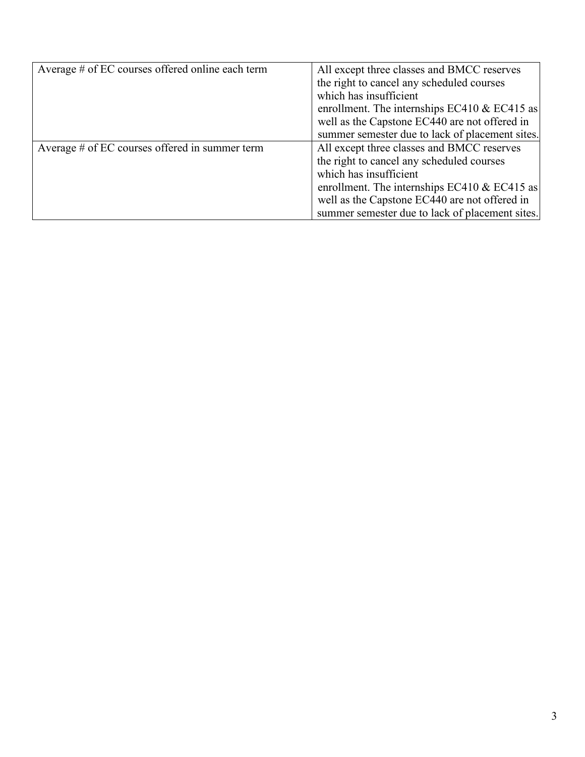| Average # of EC courses offered online each term | All except three classes and BMCC reserves      |
|--------------------------------------------------|-------------------------------------------------|
|                                                  | the right to cancel any scheduled courses       |
|                                                  | which has insufficient                          |
|                                                  | enrollment. The internships EC410 $& EC415$ as  |
|                                                  | well as the Capstone EC440 are not offered in   |
|                                                  | summer semester due to lack of placement sites. |
| Average # of EC courses offered in summer term   | All except three classes and BMCC reserves      |
|                                                  | the right to cancel any scheduled courses       |
|                                                  | which has insufficient                          |
|                                                  | enrollment. The internships EC410 & EC415 as    |
|                                                  | well as the Capstone EC440 are not offered in   |
|                                                  | summer semester due to lack of placement sites. |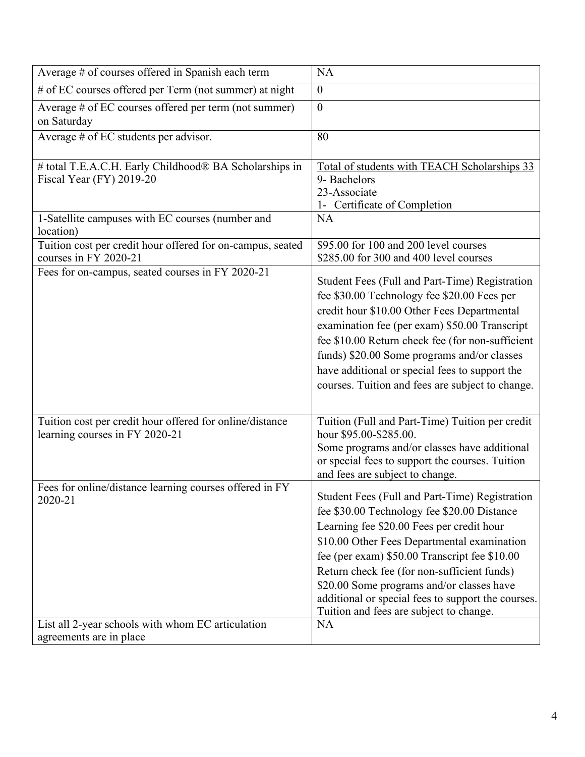| Average # of courses offered in Spanish each term                                                                       | <b>NA</b>                                                                                                                                                                                                                                                                                                                                                                                                                                            |
|-------------------------------------------------------------------------------------------------------------------------|------------------------------------------------------------------------------------------------------------------------------------------------------------------------------------------------------------------------------------------------------------------------------------------------------------------------------------------------------------------------------------------------------------------------------------------------------|
| # of EC courses offered per Term (not summer) at night                                                                  | $\boldsymbol{0}$                                                                                                                                                                                                                                                                                                                                                                                                                                     |
| Average # of EC courses offered per term (not summer)<br>on Saturday                                                    | $\boldsymbol{0}$                                                                                                                                                                                                                                                                                                                                                                                                                                     |
| Average # of EC students per advisor.                                                                                   | 80                                                                                                                                                                                                                                                                                                                                                                                                                                                   |
| # total T.E.A.C.H. Early Childhood® BA Scholarships in<br>Fiscal Year (FY) 2019-20                                      | Total of students with TEACH Scholarships 33<br>9- Bachelors<br>23-Associate<br>1- Certificate of Completion                                                                                                                                                                                                                                                                                                                                         |
| 1-Satellite campuses with EC courses (number and<br>location)                                                           | <b>NA</b>                                                                                                                                                                                                                                                                                                                                                                                                                                            |
| Tuition cost per credit hour offered for on-campus, seated<br>courses in FY 2020-21                                     | \$95.00 for 100 and 200 level courses<br>\$285.00 for 300 and 400 level courses                                                                                                                                                                                                                                                                                                                                                                      |
| Fees for on-campus, seated courses in FY 2020-21                                                                        | Student Fees (Full and Part-Time) Registration<br>fee \$30.00 Technology fee \$20.00 Fees per<br>credit hour \$10.00 Other Fees Departmental<br>examination fee (per exam) \$50.00 Transcript<br>fee \$10.00 Return check fee (for non-sufficient<br>funds) \$20.00 Some programs and/or classes<br>have additional or special fees to support the<br>courses. Tuition and fees are subject to change.                                               |
| Tuition cost per credit hour offered for online/distance<br>learning courses in FY 2020-21                              | Tuition (Full and Part-Time) Tuition per credit<br>hour \$95.00-\$285.00.<br>Some programs and/or classes have additional<br>or special fees to support the courses. Tuition<br>and fees are subject to change.                                                                                                                                                                                                                                      |
| Fees for online/distance learning courses offered in FY<br>2020-21<br>List all 2-year schools with whom EC articulation | Student Fees (Full and Part-Time) Registration<br>fee \$30.00 Technology fee \$20.00 Distance<br>Learning fee \$20.00 Fees per credit hour<br>\$10.00 Other Fees Departmental examination<br>fee (per exam) \$50.00 Transcript fee \$10.00<br>Return check fee (for non-sufficient funds)<br>\$20.00 Some programs and/or classes have<br>additional or special fees to support the courses.<br>Tuition and fees are subject to change.<br><b>NA</b> |
| agreements are in place                                                                                                 |                                                                                                                                                                                                                                                                                                                                                                                                                                                      |